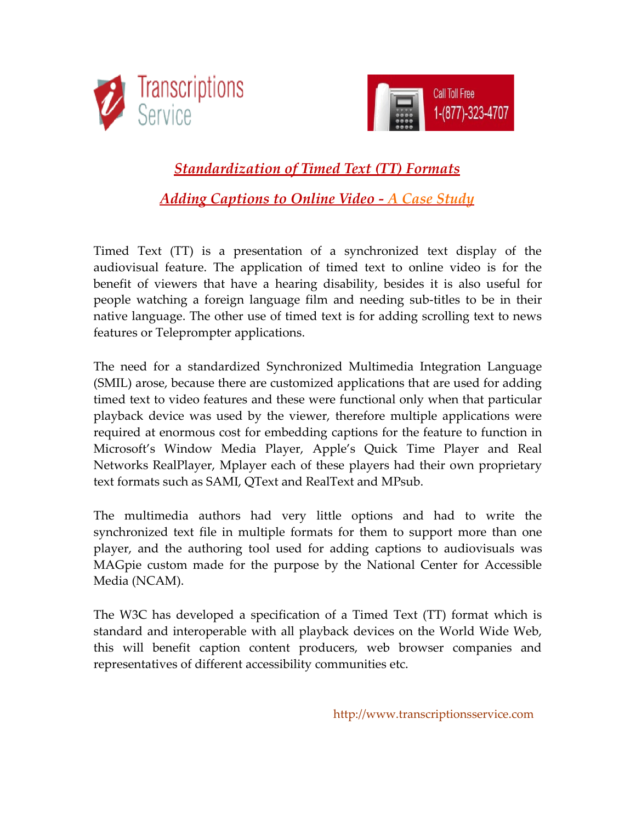



 *[Standardization of Timed Text \(TT\) Formats](http://www.transcriptionsservice.com/case-study-timed-text-format-standardization-adding-captions-to-online-video.html)  [Adding Captions to Online Video - A Case Study](http://www.transcriptionsservice.com/case-study-timed-text-format-standardization-adding-captions-to-online-video.html)*

Timed Text (TT) is a presentation of a synchronized text display of the audiovisual feature. The application of timed text to online video is for the benefit of viewers that have a hearing disability, besides it is also useful for people watching a foreign language film and needing sub-titles to be in their native language. The other use of timed text is for adding scrolling text to news features or Teleprompter applications.

The need for a standardized Synchronized Multimedia Integration Language (SMIL) arose, because there are customized applications that are used for adding timed text to video features and these were functional only when that particular playback device was used by the viewer, therefore multiple applications were required at enormous cost for embedding captions for the feature to function in Microsoft's Window Media Player, Apple's Quick Time Player and Real Networks RealPlayer, Mplayer each of these players had their own proprietary text formats such as SAMI, QText and RealText and MPsub.

The multimedia authors had very little options and had to write the synchronized text file in multiple formats for them to support more than one player, and the authoring tool used for adding captions to audiovisuals was MAGpie custom made for the purpose by the National Center for Accessible Media (NCAM).

The W3C has developed a specification of a Timed Text (TT) format which is standard and interoperable with all playback devices on the World Wide Web, this will benefit caption content producers, web browser companies and representatives of different accessibility communities etc.

http://www.transcriptionsservice.com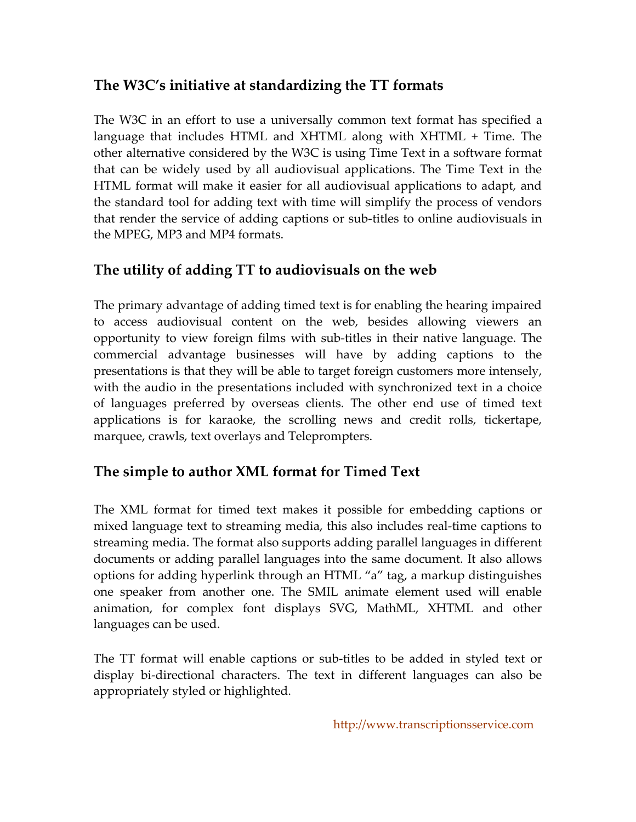### **The W3C's initiative at standardizing the TT formats**

The W3C in an effort to use a universally common text format has specified a language that includes HTML and XHTML along with XHTML + Time. The other alternative considered by the W3C is using Time Text in a software format that can be widely used by all audiovisual applications. The Time Text in the HTML format will make it easier for all audiovisual applications to adapt, and the standard tool for adding text with time will simplify the process of vendors that render the service of adding captions or sub-titles to online audiovisuals in the MPEG, MP3 and MP4 formats.

## **The utility of adding TT to audiovisuals on the web**

The primary advantage of adding timed text is for enabling the hearing impaired to access audiovisual content on the web, besides allowing viewers an opportunity to view foreign films with sub-titles in their native language. The commercial advantage businesses will have by adding captions to the presentations is that they will be able to target foreign customers more intensely, with the audio in the presentations included with synchronized text in a choice of languages preferred by overseas clients. The other end use of timed text applications is for karaoke, the scrolling news and credit rolls, tickertape, marquee, crawls, text overlays and Teleprompters.

#### **The simple to author XML format for Timed Text**

The XML format for timed text makes it possible for embedding captions or mixed language text to streaming media, this also includes real-time captions to streaming media. The format also supports adding parallel languages in different documents or adding parallel languages into the same document. It also allows options for adding hyperlink through an HTML "a" tag, a markup distinguishes one speaker from another one. The SMIL animate element used will enable animation, for complex font displays SVG, MathML, XHTML and other languages can be used.

The TT format will enable captions or sub-titles to be added in styled text or display bi-directional characters. The text in different languages can also be appropriately styled or highlighted.